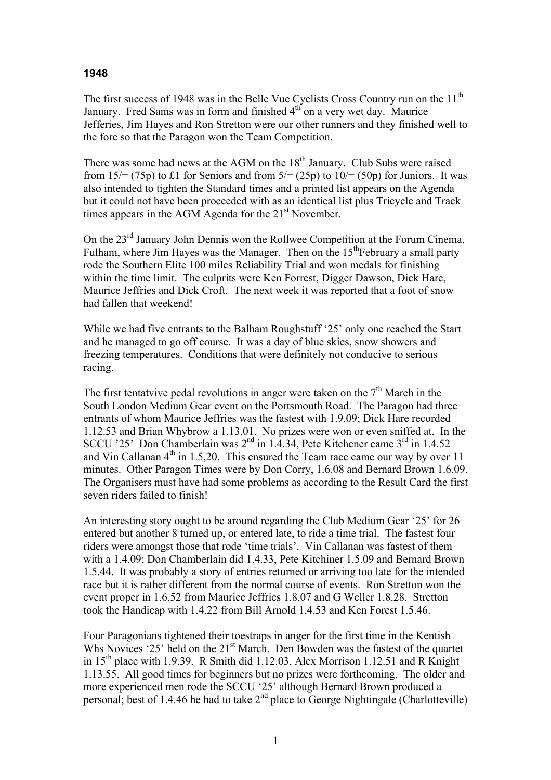## **1948**

The first success of 1948 was in the Belle Vue Cyclists Cross Country run on the 11<sup>th</sup> January. Fred Sams was in form and finished 4<sup>th</sup> on a very wet day. Maurice Jefferies, Jim Hayes and Ron Stretton were our other runners and they finished well to the fore so that the Paragon won the Team Competition.

There was some bad news at the AGM on the  $18<sup>th</sup>$  January. Club Subs were raised from  $15/=(75p)$  to £1 for Seniors and from  $5/=(25p)$  to  $10/=(50p)$  for Juniors. It was also intended to tighten the Standard times and a printed list appears on the Agenda but it could not have been proceeded with as an identical list plus Tricycle and Track times appears in the AGM Agenda for the  $21<sup>st</sup>$  November.

On the 23<sup>rd</sup> January John Dennis won the Rollwee Competition at the Forum Cinema, Fulham, where Jim Hayes was the Manager. Then on the  $15<sup>th</sup>Februarv$  a small party rode the Southern Elite 100 miles Reliability Trial and won medals for finishing within the time limit. The culprits were Ken Forrest, Digger Dawson, Dick Hare, Maurice Jeffries and Dick Croft. The next week it was reported that a foot of snow had fallen that weekend!

While we had five entrants to the Balham Roughstuff '25' only one reached the Start and he managed to go off course. It was a day of blue skies, snow showers and freezing temperatures. Conditions that were definitely not conducive to serious racing.

The first tentatvive pedal revolutions in anger were taken on the  $7<sup>th</sup>$  March in the South London Medium Gear event on the Portsmouth Road. The Paragon had three entrants of whom Maurice Jeffries was the fastest with 1.9.09; Dick Hare recorded 1.12.53 and Brian Whybrow a 1.13.01. No prizes were won or even sniffed at. In the SCCU '25' Don Chamberlain was  $2^{nd}$  in 1.4.34, Pete Kitchener came  $3^{rd}$  in 1.4.52 and Vin Callanan  $4<sup>th</sup>$  in 1.5,20. This ensured the Team race came our way by over 11 minutes. Other Paragon Times were by Don Corry, 1.6.08 and Bernard Brown 1.6.09. The Organisers must have had some problems as according to the Result Card the first seven riders failed to finish!

An interesting story ought to be around regarding the Club Medium Gear '25' for 26 entered but another 8 turned up, or entered late, to ride a time trial. The fastest four riders were amongst those that rode 'time trials'. Vin Callanan was fastest of them with a 1.4.09; Don Chamberlain did 1.4.33, Pete Kitchiner 1.5.09 and Bernard Brown 1.5.44. It was probably a story of entries returned or arriving too late for the intended race but it is rather different from the normal course of events. Ron Stretton won the event proper in 1.6.52 from Maurice Jeffries 1.8.07 and G Weller 1.8.28. Stretton took the Handicap with 1.4.22 from Bill Arnold 1.4.53 and Ken Forest 1.5.46.

Four Paragonians tightened their toestraps in anger for the first time in the Kentish Whs Novices '25' held on the 21<sup>st</sup> March. Den Bowden was the fastest of the quartet in  $15<sup>th</sup>$  place with 1.9.39. R Smith did 1.12.03, Alex Morrison 1.12.51 and R Knight 1.13.55. All good times for beginners but no prizes were forthcoming. The older and more experienced men rode the SCCU '25' although Bernard Brown produced a personal; best of 1.4.46 he had to take  $2<sup>nd</sup>$  place to George Nightingale (Charlotteville)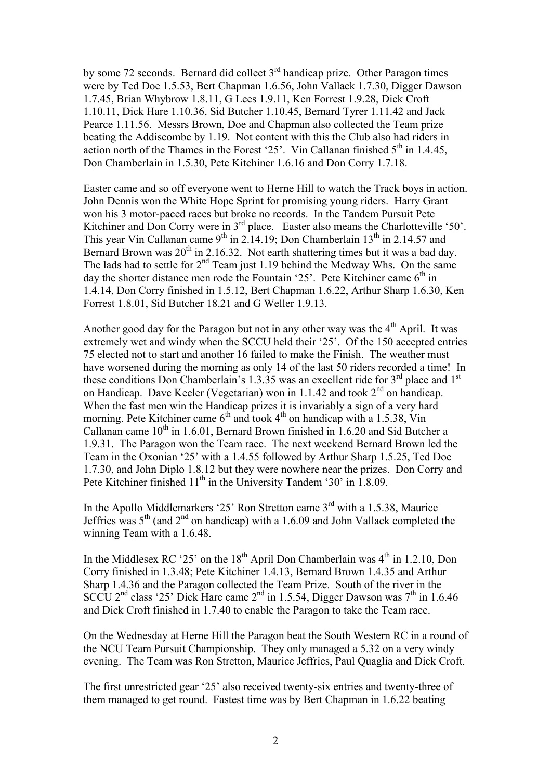by some 72 seconds. Bernard did collect  $3<sup>rd</sup>$  handicap prize. Other Paragon times were by Ted Doe 1.5.53, Bert Chapman 1.6.56, John Vallack 1.7.30, Digger Dawson 1.7.45, Brian Whybrow 1.8.11, G Lees 1.9.11, Ken Forrest 1.9.28, Dick Croft 1.10.11, Dick Hare 1.10.36, Sid Butcher 1.10.45, Bernard Tyrer 1.11.42 and Jack Pearce 1.11.56. Messrs Brown, Doe and Chapman also collected the Team prize beating the Addiscombe by 1.19. Not content with this the Club also had riders in action north of the Thames in the Forest '25'. Vin Callanan finished  $5<sup>th</sup>$  in 1.4.45, Don Chamberlain in 1.5.30, Pete Kitchiner 1.6.16 and Don Corry 1.7.18.

Easter came and so off everyone went to Herne Hill to watch the Track boys in action. John Dennis won the White Hope Sprint for promising young riders. Harry Grant won his 3 motor-paced races but broke no records. In the Tandem Pursuit Pete Kitchiner and Don Corry were in  $3<sup>rd</sup>$  place. Easter also means the Charlotteville '50'. This year Vin Callanan came  $9<sup>th</sup>$  in 2.14.19; Don Chamberlain 13<sup>th</sup> in 2.14.57 and Bernard Brown was  $20^{th}$  in 2.16.32. Not earth shattering times but it was a bad day. The lads had to settle for  $2<sup>nd</sup>$  Team just 1.19 behind the Medway Whs. On the same day the shorter distance men rode the Fountain '25'. Pete Kitchiner came  $6<sup>th</sup>$  in 1.4.14, Don Corry finished in 1.5.12, Bert Chapman 1.6.22, Arthur Sharp 1.6.30, Ken Forrest 1.8.01, Sid Butcher 18.21 and G Weller 1.9.13.

Another good day for the Paragon but not in any other way was the  $4<sup>th</sup>$  April. It was extremely wet and windy when the SCCU held their '25'. Of the 150 accepted entries 75 elected not to start and another 16 failed to make the Finish. The weather must have worsened during the morning as only 14 of the last 50 riders recorded a time! In these conditions Don Chamberlain's 1.3.35 was an excellent ride for  $3<sup>rd</sup>$  place and  $1<sup>st</sup>$ on Handicap. Dave Keeler (Vegetarian) won in 1.1.42 and took  $2<sup>nd</sup>$  on handicap. When the fast men win the Handicap prizes it is invariably a sign of a very hard morning. Pete Kitchiner came  $6<sup>th</sup>$  and took  $4<sup>th</sup>$  on handicap with a 1.5.38, Vin Callanan came  $10^{th}$  in 1.6.01, Bernard Brown finished in 1.6.20 and Sid Butcher a 1.9.31. The Paragon won the Team race. The next weekend Bernard Brown led the Team in the Oxonian '25' with a 1.4.55 followed by Arthur Sharp 1.5.25, Ted Doe 1.7.30, and John Diplo 1.8.12 but they were nowhere near the prizes. Don Corry and Pete Kitchiner finished 11<sup>th</sup> in the University Tandem '30' in 1.8.09.

In the Apollo Middlemarkers '25' Ron Stretton came 3rd with a 1.5.38, Maurice Jeffries was  $5<sup>th</sup>$  (and  $2<sup>nd</sup>$  on handicap) with a 1.6.09 and John Vallack completed the winning Team with a 1.6.48

In the Middlesex RC '25' on the  $18<sup>th</sup>$  April Don Chamberlain was  $4<sup>th</sup>$  in 1.2.10, Don Corry finished in 1.3.48; Pete Kitchiner 1.4.13, Bernard Brown 1.4.35 and Arthur Sharp 1.4.36 and the Paragon collected the Team Prize. South of the river in the SCCU 2<sup>nd</sup> class '25' Dick Hare came 2<sup>nd</sup> in 1.5.54, Digger Dawson was 7<sup>th</sup> in 1.6.46 and Dick Croft finished in 1.7.40 to enable the Paragon to take the Team race.

On the Wednesday at Herne Hill the Paragon beat the South Western RC in a round of the NCU Team Pursuit Championship. They only managed a 5.32 on a very windy evening. The Team was Ron Stretton, Maurice Jeffries, Paul Quaglia and Dick Croft.

The first unrestricted gear '25' also received twenty-six entries and twenty-three of them managed to get round. Fastest time was by Bert Chapman in 1.6.22 beating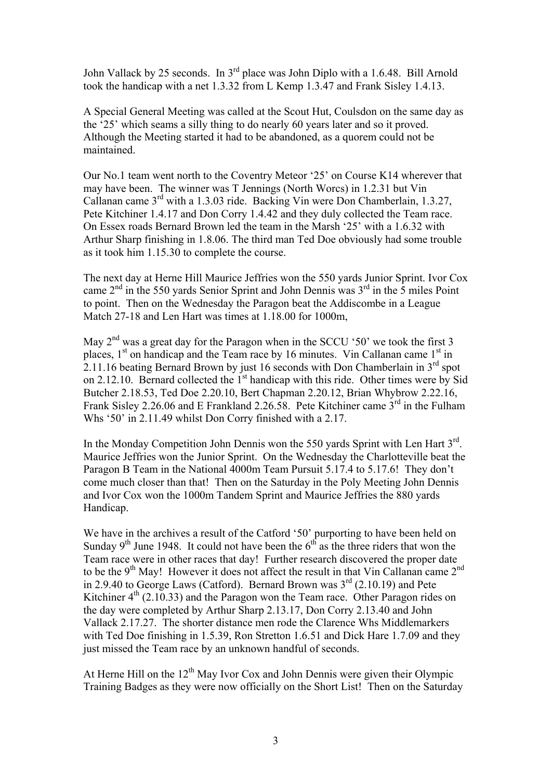John Vallack by 25 seconds. In 3rd place was John Diplo with a 1.6.48. Bill Arnold took the handicap with a net 1.3.32 from L Kemp 1.3.47 and Frank Sisley 1.4.13.

A Special General Meeting was called at the Scout Hut, Coulsdon on the same day as the '25' which seams a silly thing to do nearly 60 years later and so it proved. Although the Meeting started it had to be abandoned, as a quorem could not be maintained.

Our No.1 team went north to the Coventry Meteor '25' on Course K14 wherever that may have been. The winner was T Jennings (North Worcs) in 1.2.31 but Vin Callanan came 3rd with a 1.3.03 ride. Backing Vin were Don Chamberlain, 1.3.27, Pete Kitchiner 1.4.17 and Don Corry 1.4.42 and they duly collected the Team race. On Essex roads Bernard Brown led the team in the Marsh '25' with a 1.6.32 with Arthur Sharp finishing in 1.8.06. The third man Ted Doe obviously had some trouble as it took him 1.15.30 to complete the course.

The next day at Herne Hill Maurice Jeffries won the 550 yards Junior Sprint. Ivor Cox came  $2<sup>nd</sup>$  in the 550 yards Senior Sprint and John Dennis was  $3<sup>rd</sup>$  in the 5 miles Point to point. Then on the Wednesday the Paragon beat the Addiscombe in a League Match 27-18 and Len Hart was times at 1.18.00 for 1000m,

May  $2<sup>nd</sup>$  was a great day for the Paragon when in the SCCU '50' we took the first 3 places,  $1<sup>st</sup>$  on handicap and the Team race by 16 minutes. Vin Callanan came  $1<sup>st</sup>$  in 2.11.16 beating Bernard Brown by just 16 seconds with Don Chamberlain in  $3<sup>rd</sup>$  spot on 2.12.10. Bernard collected the  $1<sup>st</sup>$  handicap with this ride. Other times were by Sid Butcher 2.18.53, Ted Doe 2.20.10, Bert Chapman 2.20.12, Brian Whybrow 2.22.16, Frank Sisley 2.26.06 and E Frankland 2.26.58. Pete Kitchiner came  $3<sup>rd</sup>$  in the Fulham Whs '50' in 2.11.49 whilst Don Corry finished with a 2.17.

In the Monday Competition John Dennis won the 550 yards Sprint with Len Hart 3<sup>rd</sup>. Maurice Jeffries won the Junior Sprint. On the Wednesday the Charlotteville beat the Paragon B Team in the National 4000m Team Pursuit 5.17.4 to 5.17.6! They don't come much closer than that! Then on the Saturday in the Poly Meeting John Dennis and Ivor Cox won the 1000m Tandem Sprint and Maurice Jeffries the 880 yards Handicap.

We have in the archives a result of the Catford '50' purporting to have been held on Sunday  $9<sup>th</sup>$  June 1948. It could not have been the  $6<sup>th</sup>$  as the three riders that won the Team race were in other races that day! Further research discovered the proper date to be the  $9<sup>th</sup>$  May! However it does not affect the result in that Vin Callanan came  $2<sup>nd</sup>$ in 2.9.40 to George Laws (Catford). Bernard Brown was  $3<sup>rd</sup>$  (2.10.19) and Pete Kitchiner  $4<sup>th</sup>$  (2.10.33) and the Paragon won the Team race. Other Paragon rides on the day were completed by Arthur Sharp 2.13.17, Don Corry 2.13.40 and John Vallack 2.17.27. The shorter distance men rode the Clarence Whs Middlemarkers with Ted Doe finishing in 1.5.39, Ron Stretton 1.6.51 and Dick Hare 1.7.09 and they just missed the Team race by an unknown handful of seconds.

At Herne Hill on the  $12<sup>th</sup>$  May Ivor Cox and John Dennis were given their Olympic Training Badges as they were now officially on the Short List! Then on the Saturday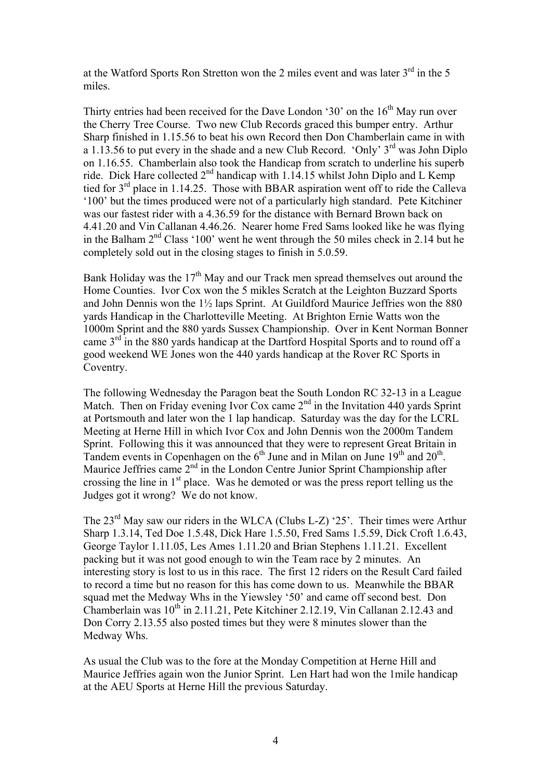at the Watford Sports Ron Stretton won the 2 miles event and was later  $3<sup>rd</sup>$  in the 5 miles.

Thirty entries had been received for the Dave London '30' on the  $16<sup>th</sup>$  May run over the Cherry Tree Course. Two new Club Records graced this bumper entry. Arthur Sharp finished in 1.15.56 to beat his own Record then Don Chamberlain came in with a 1.13.56 to put every in the shade and a new Club Record. 'Only'  $3<sup>rd</sup>$  was John Diplo on 1.16.55. Chamberlain also took the Handicap from scratch to underline his superb ride. Dick Hare collected  $2<sup>nd</sup>$  handicap with 1.14.15 whilst John Diplo and L Kemp tied for  $3<sup>rd</sup>$  place in 1.14.25. Those with BBAR aspiration went off to ride the Calleva '100' but the times produced were not of a particularly high standard. Pete Kitchiner was our fastest rider with a 4.36.59 for the distance with Bernard Brown back on 4.41.20 and Vin Callanan 4.46.26. Nearer home Fred Sams looked like he was flying in the Balham  $2<sup>nd</sup> Class '100'$  went he went through the 50 miles check in 2.14 but he completely sold out in the closing stages to finish in 5.0.59.

Bank Holiday was the  $17<sup>th</sup>$  May and our Track men spread themselves out around the Home Counties. Ivor Cox won the 5 mikles Scratch at the Leighton Buzzard Sports and John Dennis won the 1½ laps Sprint. At Guildford Maurice Jeffries won the 880 yards Handicap in the Charlotteville Meeting. At Brighton Ernie Watts won the 1000m Sprint and the 880 yards Sussex Championship. Over in Kent Norman Bonner came  $3<sup>rd</sup>$  in the 880 vards handicap at the Dartford Hospital Sports and to round off a good weekend WE Jones won the 440 yards handicap at the Rover RC Sports in Coventry.

The following Wednesday the Paragon beat the South London RC 32-13 in a League Match. Then on Friday evening Ivor Cox came  $2<sup>nd</sup>$  in the Invitation 440 yards Sprint at Portsmouth and later won the 1 lap handicap. Saturday was the day for the LCRL Meeting at Herne Hill in which Ivor Cox and John Dennis won the 2000m Tandem Sprint. Following this it was announced that they were to represent Great Britain in Tandem events in Copenhagen on the  $6<sup>th</sup>$  June and in Milan on June 19<sup>th</sup> and 20<sup>th</sup>. Maurice Jeffries came 2<sup>nd</sup> in the London Centre Junior Sprint Championship after crossing the line in 1st place. Was he demoted or was the press report telling us the Judges got it wrong? We do not know.

The  $23<sup>rd</sup>$  May saw our riders in the WLCA (Clubs L-Z) '25'. Their times were Arthur Sharp 1.3.14, Ted Doe 1.5.48, Dick Hare 1.5.50, Fred Sams 1.5.59, Dick Croft 1.6.43, George Taylor 1.11.05, Les Ames 1.11.20 and Brian Stephens 1.11.21. Excellent packing but it was not good enough to win the Team race by 2 minutes. An interesting story is lost to us in this race. The first 12 riders on the Result Card failed to record a time but no reason for this has come down to us. Meanwhile the BBAR squad met the Medway Whs in the Yiewsley '50' and came off second best. Don Chamberlain was  $10^{th}$  in 2.11.21, Pete Kitchiner 2.12.19, Vin Callanan 2.12.43 and Don Corry 2.13.55 also posted times but they were 8 minutes slower than the Medway Whs.

As usual the Club was to the fore at the Monday Competition at Herne Hill and Maurice Jeffries again won the Junior Sprint. Len Hart had won the 1mile handicap at the AEU Sports at Herne Hill the previous Saturday.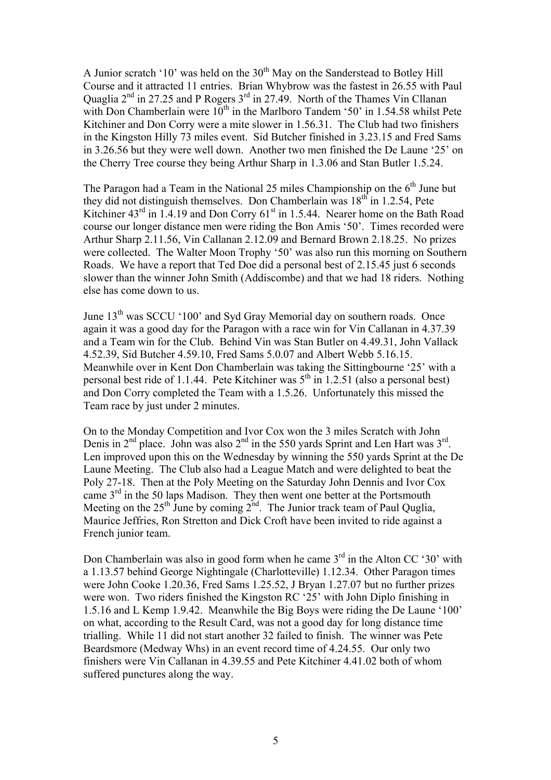A Junior scratch '10' was held on the  $30<sup>th</sup>$  May on the Sanderstead to Botley Hill Course and it attracted 11 entries. Brian Whybrow was the fastest in 26.55 with Paul Quaglia  $2^{nd}$  in 27.25 and P Rogers  $3^{rd}$  in 27.49. North of the Thames Vin Cllanan with Don Chamberlain were  $10^{th}$  in the Marlboro Tandem '50' in 1.54.58 whilst Pete Kitchiner and Don Corry were a mite slower in 1.56.31. The Club had two finishers in the Kingston Hilly 73 miles event. Sid Butcher finished in 3.23.15 and Fred Sams in 3.26.56 but they were well down. Another two men finished the De Laune '25' on the Cherry Tree course they being Arthur Sharp in 1.3.06 and Stan Butler 1.5.24.

The Paragon had a Team in the National 25 miles Championship on the  $6<sup>th</sup>$  June but they did not distinguish themselves. Don Chamberlain was  $18<sup>th</sup>$  in 1.2.54, Pete Kitchiner  $43<sup>rd</sup>$  in 1.4.19 and Don Corry  $61<sup>st</sup>$  in 1.5.44. Nearer home on the Bath Road course our longer distance men were riding the Bon Amis '50'. Times recorded were Arthur Sharp 2.11.56, Vin Callanan 2.12.09 and Bernard Brown 2.18.25. No prizes were collected. The Walter Moon Trophy '50' was also run this morning on Southern Roads. We have a report that Ted Doe did a personal best of 2.15.45 just 6 seconds slower than the winner John Smith (Addiscombe) and that we had 18 riders. Nothing else has come down to us.

June  $13<sup>th</sup>$  was SCCU '100' and Syd Gray Memorial day on southern roads. Once again it was a good day for the Paragon with a race win for Vin Callanan in 4.37.39 and a Team win for the Club. Behind Vin was Stan Butler on 4.49.31, John Vallack 4.52.39, Sid Butcher 4.59.10, Fred Sams 5.0.07 and Albert Webb 5.16.15. Meanwhile over in Kent Don Chamberlain was taking the Sittingbourne '25' with a personal best ride of 1.1.44. Pete Kitchiner was  $5<sup>th</sup>$  in 1.2.51 (also a personal best) and Don Corry completed the Team with a 1.5.26. Unfortunately this missed the Team race by just under 2 minutes.

On to the Monday Competition and Ivor Cox won the 3 miles Scratch with John Denis in  $2^{nd}$  place. John was also  $2^{nd}$  in the 550 yards Sprint and Len Hart was  $3^{rd}$ . Len improved upon this on the Wednesday by winning the 550 yards Sprint at the De Laune Meeting. The Club also had a League Match and were delighted to beat the Poly 27-18. Then at the Poly Meeting on the Saturday John Dennis and Ivor Cox came  $3<sup>rd</sup>$  in the 50 laps Madison. They then went one better at the Portsmouth Meeting on the  $25<sup>th</sup>$  June by coming  $2<sup>nd</sup>$ . The Junior track team of Paul Quglia, Maurice Jeffries, Ron Stretton and Dick Croft have been invited to ride against a French junior team.

Don Chamberlain was also in good form when he came  $3<sup>rd</sup>$  in the Alton CC '30' with a 1.13.57 behind George Nightingale (Charlotteville) 1.12.34. Other Paragon times were John Cooke 1.20.36, Fred Sams 1.25.52, J Bryan 1.27.07 but no further prizes were won. Two riders finished the Kingston RC '25' with John Diplo finishing in 1.5.16 and L Kemp 1.9.42. Meanwhile the Big Boys were riding the De Laune '100' on what, according to the Result Card, was not a good day for long distance time trialling. While 11 did not start another 32 failed to finish. The winner was Pete Beardsmore (Medway Whs) in an event record time of 4.24.55. Our only two finishers were Vin Callanan in 4.39.55 and Pete Kitchiner 4.41.02 both of whom suffered punctures along the way.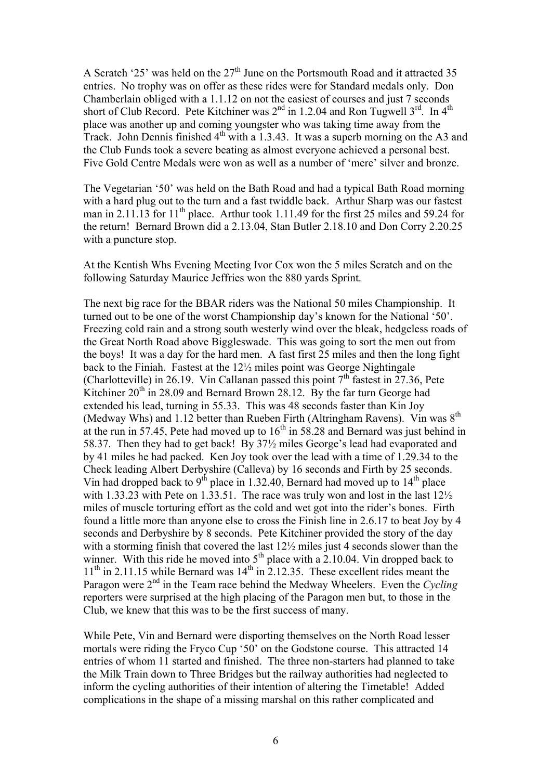A Scratch '25' was held on the  $27<sup>th</sup>$  June on the Portsmouth Road and it attracted 35 entries. No trophy was on offer as these rides were for Standard medals only. Don Chamberlain obliged with a 1.1.12 on not the easiest of courses and just 7 seconds short of Club Record. Pete Kitchiner was  $2<sup>nd</sup>$  in 1.2.04 and Ron Tugwell  $3<sup>rd</sup>$ . In  $4<sup>th</sup>$ place was another up and coming youngster who was taking time away from the Track. John Dennis finished  $4<sup>th</sup>$  with a 1.3.43. It was a superb morning on the A3 and the Club Funds took a severe beating as almost everyone achieved a personal best. Five Gold Centre Medals were won as well as a number of 'mere' silver and bronze.

The Vegetarian '50' was held on the Bath Road and had a typical Bath Road morning with a hard plug out to the turn and a fast twiddle back. Arthur Sharp was our fastest man in 2.11.13 for 11<sup>th</sup> place. Arthur took 1.11.49 for the first 25 miles and 59.24 for the return! Bernard Brown did a 2.13.04, Stan Butler 2.18.10 and Don Corry 2.20.25 with a puncture stop.

At the Kentish Whs Evening Meeting Ivor Cox won the 5 miles Scratch and on the following Saturday Maurice Jeffries won the 880 yards Sprint.

The next big race for the BBAR riders was the National 50 miles Championship. It turned out to be one of the worst Championship day's known for the National '50'. Freezing cold rain and a strong south westerly wind over the bleak, hedgeless roads of the Great North Road above Biggleswade. This was going to sort the men out from the boys! It was a day for the hard men. A fast first 25 miles and then the long fight back to the Finiah. Fastest at the 12½ miles point was George Nightingale (Charlotteville) in 26.19. Vin Callanan passed this point  $7<sup>th</sup>$  fastest in 27.36, Pete Kitchiner  $20<sup>th</sup>$  in 28.09 and Bernard Brown 28.12. By the far turn George had extended his lead, turning in 55.33. This was 48 seconds faster than Kin Joy (Medway Whs) and 1.12 better than Rueben Firth (Altringham Ravens). Vin was  $8<sup>th</sup>$ at the run in 57.45, Pete had moved up to  $16<sup>th</sup>$  in 58.28 and Bernard was just behind in 58.37. Then they had to get back! By 37½ miles George's lead had evaporated and by 41 miles he had packed. Ken Joy took over the lead with a time of 1.29.34 to the Check leading Albert Derbyshire (Calleva) by 16 seconds and Firth by 25 seconds. Vin had dropped back to 9<sup>th</sup> place in 1.32.40, Bernard had moved up to  $14<sup>th</sup>$  place with 1.33.23 with Pete on 1.33.51. The race was truly won and lost in the last  $12\frac{1}{2}$ miles of muscle torturing effort as the cold and wet got into the rider's bones. Firth found a little more than anyone else to cross the Finish line in 2.6.17 to beat Joy by 4 seconds and Derbyshire by 8 seconds. Pete Kitchiner provided the story of the day with a storming finish that covered the last 12½ miles just 4 seconds slower than the winner. With this ride he moved into  $5<sup>th</sup>$  place with a 2.10.04. Vin dropped back to  $11<sup>th</sup>$  in 2.11.15 while Bernard was  $14<sup>th</sup>$  in 2.12.35. These excellent rides meant the Paragon were 2nd in the Team race behind the Medway Wheelers. Even the *Cycling*  reporters were surprised at the high placing of the Paragon men but, to those in the Club, we knew that this was to be the first success of many.

While Pete, Vin and Bernard were disporting themselves on the North Road lesser mortals were riding the Fryco Cup '50' on the Godstone course. This attracted 14 entries of whom 11 started and finished. The three non-starters had planned to take the Milk Train down to Three Bridges but the railway authorities had neglected to inform the cycling authorities of their intention of altering the Timetable! Added complications in the shape of a missing marshal on this rather complicated and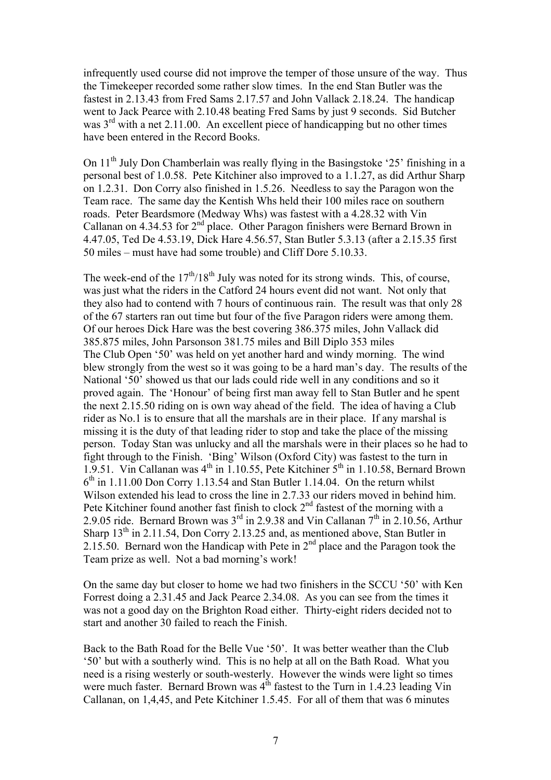infrequently used course did not improve the temper of those unsure of the way. Thus the Timekeeper recorded some rather slow times. In the end Stan Butler was the fastest in 2.13.43 from Fred Sams 2.17.57 and John Vallack 2.18.24. The handicap went to Jack Pearce with 2.10.48 beating Fred Sams by just 9 seconds. Sid Butcher was  $3<sup>rd</sup>$  with a net 2.11.00. An excellent piece of handicapping but no other times have been entered in the Record Books.

On  $11<sup>th</sup>$  July Don Chamberlain was really flying in the Basingstoke '25' finishing in a personal best of 1.0.58. Pete Kitchiner also improved to a 1.1.27, as did Arthur Sharp on 1.2.31. Don Corry also finished in 1.5.26. Needless to say the Paragon won the Team race. The same day the Kentish Whs held their 100 miles race on southern roads. Peter Beardsmore (Medway Whs) was fastest with a 4.28.32 with Vin Callanan on 4.34.53 for 2<sup>nd</sup> place. Other Paragon finishers were Bernard Brown in 4.47.05, Ted De 4.53.19, Dick Hare 4.56.57, Stan Butler 5.3.13 (after a 2.15.35 first 50 miles – must have had some trouble) and Cliff Dore 5.10.33.

The week-end of the  $17<sup>th</sup>/18<sup>th</sup>$  July was noted for its strong winds. This, of course, was just what the riders in the Catford 24 hours event did not want. Not only that they also had to contend with 7 hours of continuous rain. The result was that only 28 of the 67 starters ran out time but four of the five Paragon riders were among them. Of our heroes Dick Hare was the best covering 386.375 miles, John Vallack did 385.875 miles, John Parsonson 381.75 miles and Bill Diplo 353 miles The Club Open '50' was held on yet another hard and windy morning. The wind blew strongly from the west so it was going to be a hard man's day. The results of the National '50' showed us that our lads could ride well in any conditions and so it proved again. The 'Honour' of being first man away fell to Stan Butler and he spent the next 2.15.50 riding on is own way ahead of the field. The idea of having a Club rider as No.1 is to ensure that all the marshals are in their place. If any marshal is missing it is the duty of that leading rider to stop and take the place of the missing person. Today Stan was unlucky and all the marshals were in their places so he had to fight through to the Finish. 'Bing' Wilson (Oxford City) was fastest to the turn in 1.9.51. Vin Callanan was  $4<sup>th</sup>$  in 1.10.55, Pete Kitchiner  $5<sup>th</sup>$  in 1.10.58, Bernard Brown  $6<sup>th</sup>$  in 1.11.00 Don Corry 1.13.54 and Stan Butler 1.14.04. On the return whilst Wilson extended his lead to cross the line in 2.7.33 our riders moved in behind him. Pete Kitchiner found another fast finish to clock 2<sup>nd</sup> fastest of the morning with a 2.9.05 ride. Bernard Brown was  $3<sup>rd</sup>$  in 2.9.38 and Vin Callanan  $7<sup>th</sup>$  in 2.10.56, Arthur Sharp  $13<sup>th</sup>$  in 2.11.54, Don Corry 2.13.25 and, as mentioned above, Stan Butler in 2.15.50. Bernard won the Handicap with Pete in  $2<sup>nd</sup>$  place and the Paragon took the Team prize as well. Not a bad morning's work!

On the same day but closer to home we had two finishers in the SCCU '50' with Ken Forrest doing a 2.31.45 and Jack Pearce 2.34.08. As you can see from the times it was not a good day on the Brighton Road either. Thirty-eight riders decided not to start and another 30 failed to reach the Finish.

Back to the Bath Road for the Belle Vue '50'. It was better weather than the Club '50' but with a southerly wind. This is no help at all on the Bath Road. What you need is a rising westerly or south-westerly. However the winds were light so times were much faster. Bernard Brown was  $4^{th}$  fastest to the Turn in 1.4.23 leading Vin Callanan, on 1,4,45, and Pete Kitchiner 1.5.45. For all of them that was 6 minutes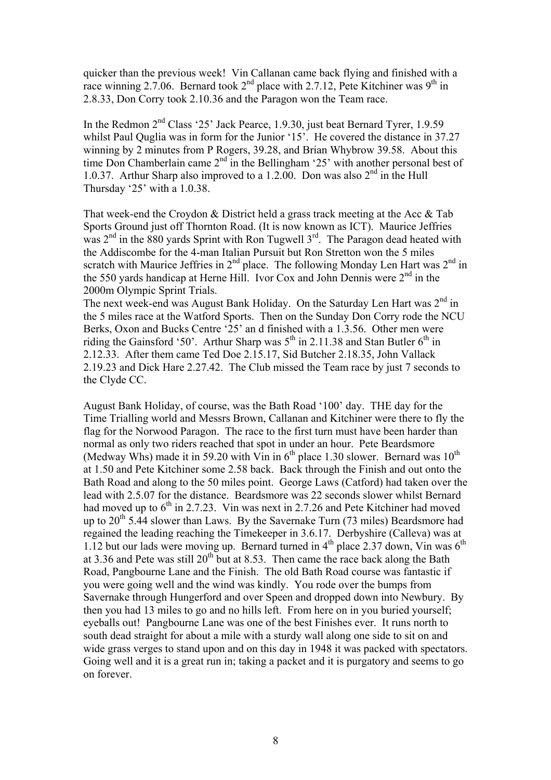quicker than the previous week! Vin Callanan came back flying and finished with a race winning 2.7.06. Bernard took  $2^{nd}$  place with 2.7.12, Pete Kitchiner was 9<sup>th</sup> in 2.8.33, Don Corry took 2.10.36 and the Paragon won the Team race.

In the Redmon  $2<sup>nd</sup>$  Class '25' Jack Pearce, 1.9.30, just beat Bernard Tyrer, 1.9.59 whilst Paul Quglia was in form for the Junior '15'. He covered the distance in 37.27 winning by 2 minutes from P Rogers, 39.28, and Brian Whybrow 39.58. About this time Don Chamberlain came  $2<sup>nd</sup>$  in the Bellingham '25' with another personal best of 1.0.37. Arthur Sharp also improved to a 1.2.00. Don was also  $2<sup>nd</sup>$  in the Hull Thursday '25' with a 1.0.38.

That week-end the Croydon & District held a grass track meeting at the Acc & Tab Sports Ground just off Thornton Road. (It is now known as ICT). Maurice Jeffries was  $2<sup>nd</sup>$  in the 880 yards Sprint with Ron Tugwell  $3<sup>rd</sup>$ . The Paragon dead heated with the Addiscombe for the 4-man Italian Pursuit but Ron Stretton won the 5 miles scratch with Maurice Jeffries in  $2<sup>nd</sup>$  place. The following Monday Len Hart was  $2<sup>nd</sup>$  in the 550 yards handicap at Herne Hill. Ivor Cox and John Dennis were  $2<sup>nd</sup>$  in the 2000m Olympic Sprint Trials.

The next week-end was August Bank Holiday. On the Saturday Len Hart was  $2<sup>nd</sup>$  in the 5 miles race at the Watford Sports. Then on the Sunday Don Corry rode the NCU Berks, Oxon and Bucks Centre '25' an d finished with a 1.3.56. Other men were riding the Gainsford '50'. Arthur Sharp was  $5<sup>th</sup>$  in 2.11.38 and Stan Butler 6<sup>th</sup> in 2.12.33. After them came Ted Doe 2.15.17, Sid Butcher 2.18.35, John Vallack 2.19.23 and Dick Hare 2.27.42. The Club missed the Team race by just 7 seconds to the Clyde CC.

August Bank Holiday, of course, was the Bath Road '100' day. THE day for the Time Trialling world and Messrs Brown, Callanan and Kitchiner were there to fly the flag for the Norwood Paragon. The race to the first turn must have been harder than normal as only two riders reached that spot in under an hour. Pete Beardsmore (Medway Whs) made it in 59.20 with V $\sin 6^{th}$  place 1.30 slower. Bernard was  $10^{th}$ at 1.50 and Pete Kitchiner some 2.58 back. Back through the Finish and out onto the Bath Road and along to the 50 miles point. George Laws (Catford) had taken over the lead with 2.5.07 for the distance. Beardsmore was 22 seconds slower whilst Bernard had moved up to  $6<sup>th</sup>$  in 2.7.23. Vin was next in 2.7.26 and Pete Kitchiner had moved up to  $20^{th}$  5.44 slower than Laws. By the Savernake Turn (73 miles) Beardsmore had regained the leading reaching the Timekeeper in 3.6.17. Derbyshire (Calleva) was at 1.12 but our lads were moving up. Bernard turned in  $4<sup>th</sup>$  place 2.37 down, Vin was  $6<sup>th</sup>$ at 3.36 and Pete was still  $20^{th}$  but at 8.53. Then came the race back along the Bath Road, Pangbourne Lane and the Finish. The old Bath Road course was fantastic if you were going well and the wind was kindly. You rode over the bumps from Savernake through Hungerford and over Speen and dropped down into Newbury. By then you had 13 miles to go and no hills left. From here on in you buried yourself; eyeballs out! Pangbourne Lane was one of the best Finishes ever. It runs north to south dead straight for about a mile with a sturdy wall along one side to sit on and wide grass verges to stand upon and on this day in 1948 it was packed with spectators. Going well and it is a great run in; taking a packet and it is purgatory and seems to go on forever.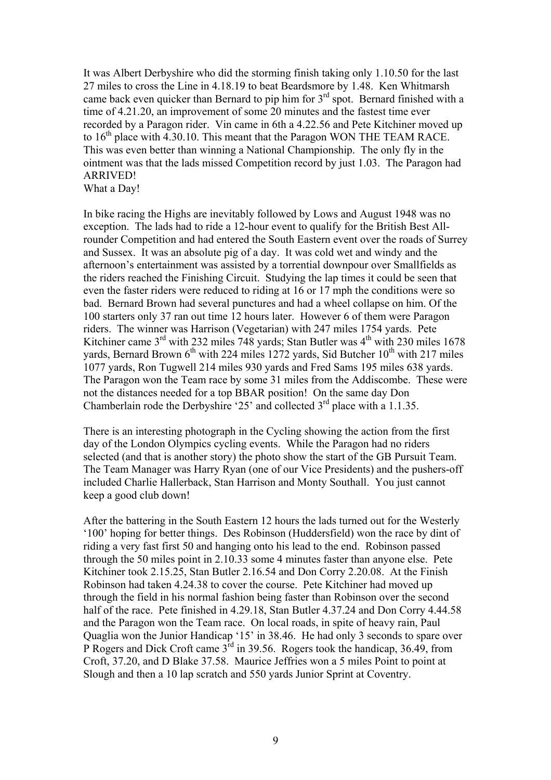It was Albert Derbyshire who did the storming finish taking only 1.10.50 for the last 27 miles to cross the Line in 4.18.19 to beat Beardsmore by 1.48. Ken Whitmarsh came back even quicker than Bernard to pip him for  $3<sup>rd</sup>$  spot. Bernard finished with a time of 4.21.20, an improvement of some 20 minutes and the fastest time ever recorded by a Paragon rider. Vin came in 6th a 4.22.56 and Pete Kitchiner moved up to  $16<sup>th</sup>$  place with 4.30.10. This meant that the Paragon WON THE TEAM RACE. This was even better than winning a National Championship. The only fly in the ointment was that the lads missed Competition record by just 1.03. The Paragon had ARRIVED! What a Day!

In bike racing the Highs are inevitably followed by Lows and August 1948 was no exception. The lads had to ride a 12-hour event to qualify for the British Best Allrounder Competition and had entered the South Eastern event over the roads of Surrey and Sussex. It was an absolute pig of a day. It was cold wet and windy and the afternoon's entertainment was assisted by a torrential downpour over Smallfields as the riders reached the Finishing Circuit. Studying the lap times it could be seen that even the faster riders were reduced to riding at 16 or 17 mph the conditions were so bad. Bernard Brown had several punctures and had a wheel collapse on him. Of the 100 starters only 37 ran out time 12 hours later. However 6 of them were Paragon riders. The winner was Harrison (Vegetarian) with 247 miles 1754 yards. Pete Kitchiner came 3<sup>rd</sup> with 232 miles 748 yards; Stan Butler was 4<sup>th</sup> with 230 miles 1678 yards, Bernard Brown 6<sup>th</sup> with 224 miles 1272 yards, Sid Butcher 10<sup>th</sup> with 217 miles 1077 yards, Ron Tugwell 214 miles 930 yards and Fred Sams 195 miles 638 yards. The Paragon won the Team race by some 31 miles from the Addiscombe. These were not the distances needed for a top BBAR position! On the same day Don Chamberlain rode the Derbyshire '25' and collected  $3<sup>rd</sup>$  place with a 1.1.35.

There is an interesting photograph in the Cycling showing the action from the first day of the London Olympics cycling events. While the Paragon had no riders selected (and that is another story) the photo show the start of the GB Pursuit Team. The Team Manager was Harry Ryan (one of our Vice Presidents) and the pushers-off included Charlie Hallerback, Stan Harrison and Monty Southall. You just cannot keep a good club down!

After the battering in the South Eastern 12 hours the lads turned out for the Westerly '100' hoping for better things. Des Robinson (Huddersfield) won the race by dint of riding a very fast first 50 and hanging onto his lead to the end. Robinson passed through the 50 miles point in 2.10.33 some 4 minutes faster than anyone else. Pete Kitchiner took 2.15.25, Stan Butler 2.16.54 and Don Corry 2.20.08. At the Finish Robinson had taken 4.24.38 to cover the course. Pete Kitchiner had moved up through the field in his normal fashion being faster than Robinson over the second half of the race. Pete finished in 4.29.18, Stan Butler 4.37.24 and Don Corry 4.44.58 and the Paragon won the Team race. On local roads, in spite of heavy rain, Paul Quaglia won the Junior Handicap '15' in 38.46. He had only 3 seconds to spare over P Rogers and Dick Croft came  $3<sup>rd</sup>$  in 39.56. Rogers took the handicap, 36.49, from Croft, 37.20, and D Blake 37.58. Maurice Jeffries won a 5 miles Point to point at Slough and then a 10 lap scratch and 550 yards Junior Sprint at Coventry.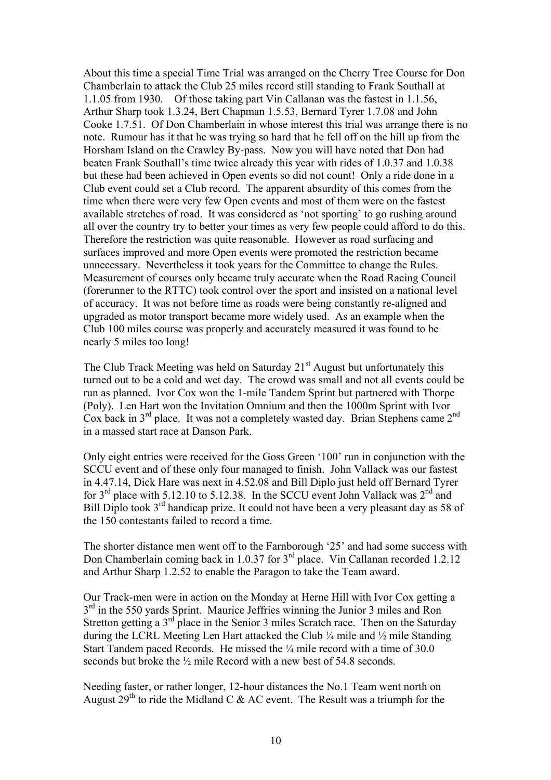About this time a special Time Trial was arranged on the Cherry Tree Course for Don Chamberlain to attack the Club 25 miles record still standing to Frank Southall at 1.1.05 from 1930. Of those taking part Vin Callanan was the fastest in 1.1.56, Arthur Sharp took 1.3.24, Bert Chapman 1.5.53, Bernard Tyrer 1.7.08 and John Cooke 1.7.51. Of Don Chamberlain in whose interest this trial was arrange there is no note. Rumour has it that he was trying so hard that he fell off on the hill up from the Horsham Island on the Crawley By-pass. Now you will have noted that Don had beaten Frank Southall's time twice already this year with rides of 1.0.37 and 1.0.38 but these had been achieved in Open events so did not count! Only a ride done in a Club event could set a Club record. The apparent absurdity of this comes from the time when there were very few Open events and most of them were on the fastest available stretches of road. It was considered as 'not sporting' to go rushing around all over the country try to better your times as very few people could afford to do this. Therefore the restriction was quite reasonable. However as road surfacing and surfaces improved and more Open events were promoted the restriction became unnecessary. Nevertheless it took years for the Committee to change the Rules. Measurement of courses only became truly accurate when the Road Racing Council (forerunner to the RTTC) took control over the sport and insisted on a national level of accuracy. It was not before time as roads were being constantly re-aligned and upgraded as motor transport became more widely used. As an example when the Club 100 miles course was properly and accurately measured it was found to be nearly 5 miles too long!

The Club Track Meeting was held on Saturday  $21<sup>st</sup>$  August but unfortunately this turned out to be a cold and wet day. The crowd was small and not all events could be run as planned. Ivor Cox won the 1-mile Tandem Sprint but partnered with Thorpe (Poly). Len Hart won the Invitation Omnium and then the 1000m Sprint with Ivor Cox back in  $3^{rd}$  place. It was not a completely wasted day. Brian Stephens came  $2^{nd}$ in a massed start race at Danson Park.

Only eight entries were received for the Goss Green '100' run in conjunction with the SCCU event and of these only four managed to finish. John Vallack was our fastest in 4.47.14, Dick Hare was next in 4.52.08 and Bill Diplo just held off Bernard Tyrer for  $3<sup>rd</sup>$  place with 5.12.10 to 5.12.38. In the SCCU event John Vallack was  $2<sup>nd</sup>$  and Bill Diplo took 3<sup>rd</sup> handicap prize. It could not have been a very pleasant day as 58 of the 150 contestants failed to record a time.

The shorter distance men went off to the Farnborough '25' and had some success with Don Chamberlain coming back in 1.0.37 for 3<sup>rd</sup> place. Vin Callanan recorded 1.2.12 and Arthur Sharp 1.2.52 to enable the Paragon to take the Team award.

Our Track-men were in action on the Monday at Herne Hill with Ivor Cox getting a  $3<sup>rd</sup>$  in the 550 yards Sprint. Maurice Jeffries winning the Junior 3 miles and Ron Stretton getting a  $3<sup>rd</sup>$  place in the Senior 3 miles Scratch race. Then on the Saturday during the LCRL Meeting Len Hart attacked the Club ¼ mile and ½ mile Standing Start Tandem paced Records. He missed the ¼ mile record with a time of 30.0 seconds but broke the  $\frac{1}{2}$  mile Record with a new best of 54.8 seconds.

Needing faster, or rather longer, 12-hour distances the No.1 Team went north on August  $29<sup>th</sup>$  to ride the Midland C & AC event. The Result was a triumph for the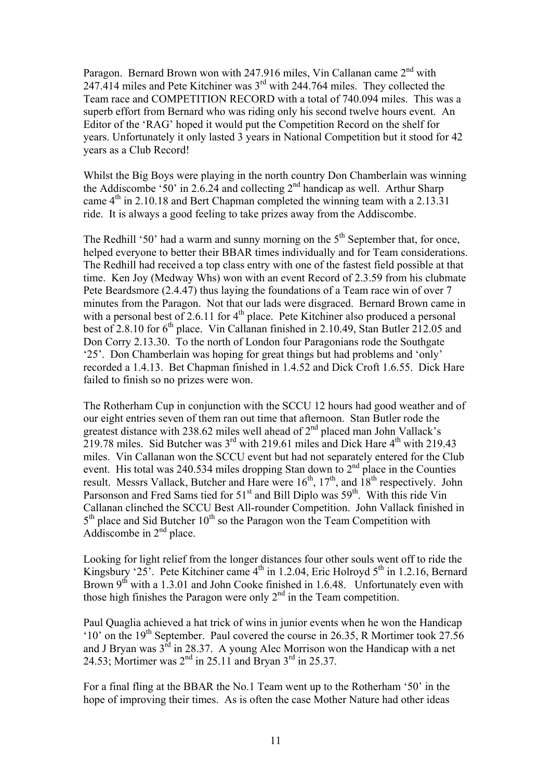Paragon. Bernard Brown won with 247.916 miles, Vin Callanan came 2<sup>nd</sup> with 247.414 miles and Pete Kitchiner was 3rd with 244.764 miles. They collected the Team race and COMPETITION RECORD with a total of 740.094 miles. This was a superb effort from Bernard who was riding only his second twelve hours event. An Editor of the 'RAG' hoped it would put the Competition Record on the shelf for years. Unfortunately it only lasted 3 years in National Competition but it stood for 42 years as a Club Record!

Whilst the Big Boys were playing in the north country Don Chamberlain was winning the Addiscombe '50' in 2.6.24 and collecting  $2<sup>nd</sup>$  handicap as well. Arthur Sharp came  $4<sup>th</sup>$  in 2.10.18 and Bert Chapman completed the winning team with a 2.13.31 ride. It is always a good feeling to take prizes away from the Addiscombe.

The Redhill '50' had a warm and sunny morning on the  $5<sup>th</sup>$  September that, for once, helped everyone to better their BBAR times individually and for Team considerations. The Redhill had received a top class entry with one of the fastest field possible at that time. Ken Joy (Medway Whs) won with an event Record of 2.3.59 from his clubmate Pete Beardsmore (2.4.47) thus laying the foundations of a Team race win of over 7 minutes from the Paragon. Not that our lads were disgraced. Bernard Brown came in with a personal best of 2.6.11 for  $4<sup>th</sup>$  place. Pete Kitchiner also produced a personal best of 2.8.10 for  $6<sup>th</sup>$  place. Vin Callanan finished in 2.10.49, Stan Butler 212.05 and Don Corry 2.13.30. To the north of London four Paragonians rode the Southgate '25'. Don Chamberlain was hoping for great things but had problems and 'only' recorded a 1.4.13. Bet Chapman finished in 1.4.52 and Dick Croft 1.6.55. Dick Hare failed to finish so no prizes were won.

The Rotherham Cup in conjunction with the SCCU 12 hours had good weather and of our eight entries seven of them ran out time that afternoon. Stan Butler rode the greatest distance with 238.62 miles well ahead of 2<sup>nd</sup> placed man John Vallack's 219.78 miles. Sid Butcher was  $3<sup>rd</sup>$  with 219.61 miles and Dick Hare  $4<sup>th</sup>$  with 219.43 miles. Vin Callanan won the SCCU event but had not separately entered for the Club event. His total was 240.534 miles dropping Stan down to  $2<sup>nd</sup>$  place in the Counties result. Messrs Vallack, Butcher and Hare were  $16^{th}$ ,  $17^{th}$ , and  $18^{th}$  respectively. John Parsonson and Fred Sams tied for  $51<sup>st</sup>$  and Bill Diplo was  $59<sup>th</sup>$ . With this ride Vin Callanan clinched the SCCU Best All-rounder Competition. John Vallack finished in  $5<sup>th</sup>$  place and Sid Butcher 10<sup>th</sup> so the Paragon won the Team Competition with Addiscombe in  $2<sup>nd</sup>$  place.

Looking for light relief from the longer distances four other souls went off to ride the Kingsbury '25'. Pete Kitchiner came  $4<sup>th</sup>$  in 1.2.04, Eric Holroyd  $5<sup>th</sup>$  in 1.2.16, Bernard Brown  $9<sup>th</sup>$  with a 1.3.01 and John Cooke finished in 1.6.48. Unfortunately even with those high finishes the Paragon were only  $2<sup>nd</sup>$  in the Team competition.

Paul Quaglia achieved a hat trick of wins in junior events when he won the Handicap '10' on the  $19<sup>th</sup>$  September. Paul covered the course in 26.35, R Mortimer took 27.56 and J Bryan was  $3<sup>rd</sup>$  in 28.37. A young Alec Morrison won the Handicap with a net 24.53; Mortimer was  $2<sup>nd</sup>$  in 25.11 and Bryan  $3<sup>rd</sup>$  in 25.37.

For a final fling at the BBAR the No.1 Team went up to the Rotherham '50' in the hope of improving their times. As is often the case Mother Nature had other ideas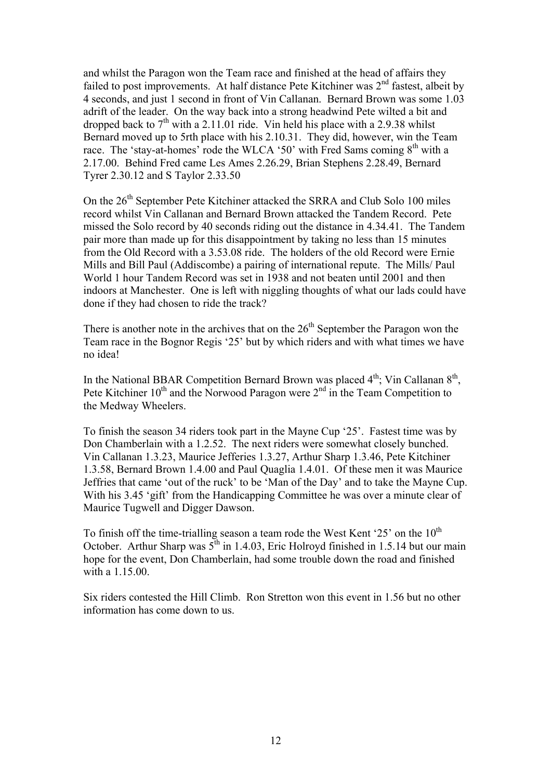and whilst the Paragon won the Team race and finished at the head of affairs they failed to post improvements. At half distance Pete Kitchiner was  $2<sup>nd</sup>$  fastest, albeit by 4 seconds, and just 1 second in front of Vin Callanan. Bernard Brown was some 1.03 adrift of the leader. On the way back into a strong headwind Pete wilted a bit and dropped back to  $7<sup>th</sup>$  with a 2.11.01 ride. Vin held his place with a 2.9.38 whilst Bernard moved up to 5rth place with his 2.10.31. They did, however, win the Team race. The 'stay-at-homes' rode the WLCA '50' with Fred Sams coming  $8<sup>th</sup>$  with a 2.17.00. Behind Fred came Les Ames 2.26.29, Brian Stephens 2.28.49, Bernard Tyrer 2.30.12 and S Taylor 2.33.50

On the  $26<sup>th</sup>$  September Pete Kitchiner attacked the SRRA and Club Solo 100 miles record whilst Vin Callanan and Bernard Brown attacked the Tandem Record. Pete missed the Solo record by 40 seconds riding out the distance in 4.34.41. The Tandem pair more than made up for this disappointment by taking no less than 15 minutes from the Old Record with a 3.53.08 ride. The holders of the old Record were Ernie Mills and Bill Paul (Addiscombe) a pairing of international repute. The Mills/ Paul World 1 hour Tandem Record was set in 1938 and not beaten until 2001 and then indoors at Manchester. One is left with niggling thoughts of what our lads could have done if they had chosen to ride the track?

There is another note in the archives that on the  $26<sup>th</sup>$  September the Paragon won the Team race in the Bognor Regis '25' but by which riders and with what times we have no idea!

In the National BBAR Competition Bernard Brown was placed  $4<sup>th</sup>$ ; Vin Callanan  $8<sup>th</sup>$ , Pete Kitchiner  $10^{th}$  and the Norwood Paragon were  $2^{nd}$  in the Team Competition to the Medway Wheelers.

To finish the season 34 riders took part in the Mayne Cup '25'. Fastest time was by Don Chamberlain with a 1.2.52. The next riders were somewhat closely bunched. Vin Callanan 1.3.23, Maurice Jefferies 1.3.27, Arthur Sharp 1.3.46, Pete Kitchiner 1.3.58, Bernard Brown 1.4.00 and Paul Quaglia 1.4.01. Of these men it was Maurice Jeffries that came 'out of the ruck' to be 'Man of the Day' and to take the Mayne Cup. With his 3.45 'gift' from the Handicapping Committee he was over a minute clear of Maurice Tugwell and Digger Dawson.

To finish off the time-trialling season a team rode the West Kent '25' on the  $10<sup>th</sup>$ October. Arthur Sharp was  $5<sup>th</sup>$  in 1.4.03, Eric Holroyd finished in 1.5.14 but our main hope for the event, Don Chamberlain, had some trouble down the road and finished with a 1.15.00.

Six riders contested the Hill Climb. Ron Stretton won this event in 1.56 but no other information has come down to us.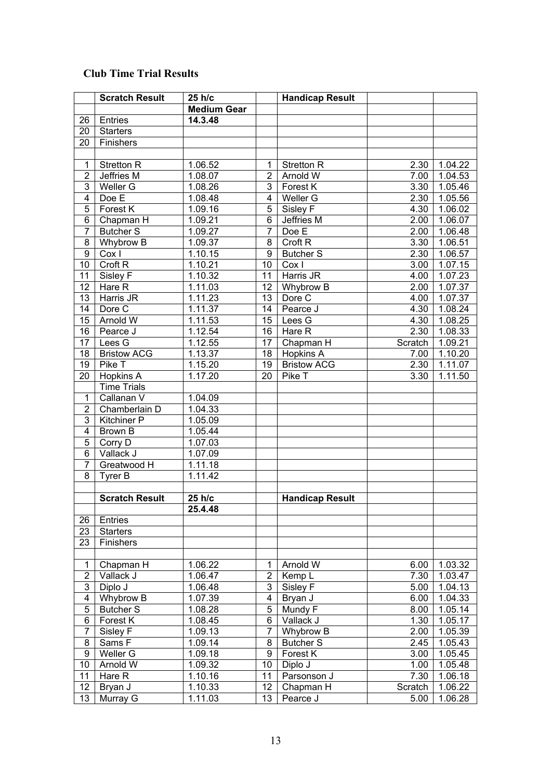## **Club Time Trial Results**

|                               | <b>Scratch Result</b>            | 25 h/c             |                | <b>Handicap Result</b> |         |                      |
|-------------------------------|----------------------------------|--------------------|----------------|------------------------|---------|----------------------|
|                               |                                  | <b>Medium Gear</b> |                |                        |         |                      |
| 26                            | Entries                          | 14.3.48            |                |                        |         |                      |
| 20                            | <b>Starters</b>                  |                    |                |                        |         |                      |
| 20                            | Finishers                        |                    |                |                        |         |                      |
|                               |                                  |                    |                |                        |         |                      |
| 1                             | <b>Stretton R</b>                | 1.06.52            | 1              | <b>Stretton R</b>      | 2.30    | 1.04.22              |
| 2                             | Jeffries M                       | 1.08.07            | 2              | Arnold W               | 7.00    | 1.04.53              |
| 3                             | Weller G                         | 1.08.26            | 3              | Forest K               | 3.30    | 1.05.46              |
| 4                             | Doe E                            | 1.08.48            | 4              | Weller G               | 2.30    | 1.05.56              |
| 5                             | Forest K                         | 1.09.16            | 5              | Sisley F               | 4.30    | 1.06.02              |
| 6                             | Chapman H                        | 1.09.21            | 6              | Jeffries M             | 2.00    | 1.06.07              |
| 7                             | <b>Butcher S</b>                 | 1.09.27            | 7              | Doe E                  | 2.00    | 1.06.48              |
| 8                             | Whybrow B                        | 1.09.37            | 8              | Croft <sub>R</sub>     | 3.30    | 1.06.51              |
| 9                             | Cox I                            | 1.10.15            | 9              | <b>Butcher S</b>       | 2.30    | 1.06.57              |
| 10                            | Croft <sub>R</sub>               | 1.10.21            | 10             | Cox I                  | 3.00    | 1.07.15              |
| 11                            | Sisley F                         | 1.10.32            | 11             | Harris JR              | 4.00    | 1.07.23              |
| 12                            | Hare R                           | 1.11.03            | 12             | Whybrow B              | 2.00    | 1.07.37              |
| 13                            | Harris JR                        | 1.11.23            | 13             | Dore C                 | 4.00    | 1.07.37              |
| 14                            | Dore C                           | 1.11.37            | 14             | Pearce J               | 4.30    | 1.08.24              |
| 15                            | Arnold W                         | 1.11.53            | 15             | Lees G                 | 4.30    | 1.08.25              |
| 16                            | Pearce J                         | 1.12.54            | 16             | Hare R                 | 2.30    | 1.08.33              |
| 17                            | Lees G                           | 1.12.55            | 17             | Chapman H              | Scratch | 1.09.21              |
| 18                            | <b>Bristow ACG</b>               | 1.13.37            | 18             | Hopkins A              | 7.00    | 1.10.20              |
| 19                            | Pike T                           | 1.15.20            | 19             | <b>Bristow ACG</b>     | 2.30    | 1.11.07              |
| 20                            | <b>Hopkins A</b>                 | 1.17.20            | 20             | Pike T                 | 3.30    | 1.11.50              |
|                               | <b>Time Trials</b><br>Callanan V |                    |                |                        |         |                      |
| $\mathbf 1$<br>$\overline{c}$ | Chamberlain D                    | 1.04.09<br>1.04.33 |                |                        |         |                      |
| 3                             | <b>Kitchiner P</b>               | 1.05.09            |                |                        |         |                      |
| 4                             | Brown B                          | 1.05.44            |                |                        |         |                      |
| 5                             | Corry D                          | 1.07.03            |                |                        |         |                      |
| 6                             | Vallack J                        | 1.07.09            |                |                        |         |                      |
| 7                             | Greatwood H                      | 1.11.18            |                |                        |         |                      |
| 8                             | Tyrer B                          | 1.11.42            |                |                        |         |                      |
|                               |                                  |                    |                |                        |         |                      |
|                               | <b>Scratch Result</b>            | 25 h/c             |                | <b>Handicap Result</b> |         |                      |
|                               |                                  | 25.4.48            |                |                        |         |                      |
| 26                            | Entries                          |                    |                |                        |         |                      |
| 23                            | <b>Starters</b>                  |                    |                |                        |         |                      |
| 23                            | Finishers                        |                    |                |                        |         |                      |
|                               |                                  |                    |                |                        |         |                      |
| $\mathbf{1}$                  | Chapman H                        | 1.06.22            | 1              | Arnold W               | 6.00    | 1.03.32              |
| $\overline{c}$                | Vallack J                        | 1.06.47            | $\overline{2}$ | Kemp L                 | 7.30    | 1.03.47              |
| 3                             | Diplo J                          | 1.06.48            | 3              | Sisley F               | 5.00    | 1.04.13              |
| 4                             | Whybrow B                        | 1.07.39            | 4              | Bryan J                | 6.00    | 1.04.33              |
| 5                             | <b>Butcher S</b>                 | 1.08.28            | 5              | Mundy F                | 8.00    | 1.05.14              |
| 6                             | Forest K                         | 1.08.45            | 6              | Vallack J              | 1.30    | 1.05.17              |
| 7                             | Sisley F                         | 1.09.13            | 7              | Whybrow B              | 2.00    | $\overline{1.05.39}$ |
| 8                             | Sams F                           | 1.09.14            | 8              | <b>Butcher S</b>       | 2.45    | 1.05.43              |
| $\overline{9}$                | Weller G                         | 1.09.18            | 9              | Forest K               | 3.00    | 1.05.45              |
| 10                            | Arnold W                         | 1.09.32            | 10             | Diplo J                | 1.00    | 1.05.48              |
| 11                            | Hare R                           | 1.10.16            | 11             | Parsonson J            | 7.30    | 1.06.18              |
| 12                            | Bryan J                          | 1.10.33            | 12             | Chapman H              | Scratch | 1.06.22              |
| 13                            | Murray G                         | 1.11.03            | 13             | Pearce J               | 5.00    | 1.06.28              |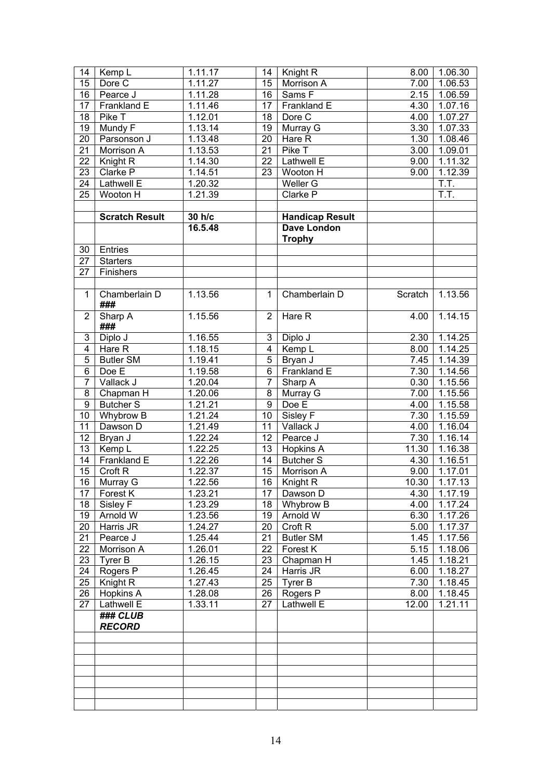| 14             | Kemp L                       | 1.11.17              | 14             | Knight R                    | 8.00          | 1.06.30            |
|----------------|------------------------------|----------------------|----------------|-----------------------------|---------------|--------------------|
| 15             | Dore C                       | 1.11.27              | 15             | Morrison A                  | 7.00          | 1.06.53            |
| 16             | Pearce J                     | 1.11.28              | 16             | Sams F                      | 2.15          | 1.06.59            |
| 17             | Frankland E                  | 1.11.46              | 17             | Frankland E                 | 4.30          | 1.07.16            |
| 18             | Pike T                       | $\overline{1.12.01}$ | 18             | Dore C                      | 4.00          | 1.07.27            |
| 19             | Mundy F                      | 1.13.14              | 19             | Murray G                    | 3.30          | 1.07.33            |
| 20             | Parsonson J                  | 1.13.48              | 20             | Hare R                      | 1.30          | 1.08.46            |
| 21             | Morrison A                   | 1.13.53              | 21             | Pike T                      | 3.00          | 1.09.01            |
| 22             | Knight R                     | 1.14.30              | 22             | Lathwell E                  | 9.00          | 1.11.32            |
| 23             | Clarke P                     | 1.14.51              | 23             | Wooton H                    | 9.00          | 1.12.39            |
| 24             | Lathwell E                   | 1.20.32              |                | Weller G                    |               | T.T.               |
| 25             | Wooton H                     | 1.21.39              |                | Clarke P                    |               | $\overline{T.T.}$  |
|                |                              |                      |                |                             |               |                    |
|                | <b>Scratch Result</b>        | 30 h/c               |                | <b>Handicap Result</b>      |               |                    |
|                |                              | 16.5.48              |                | Dave London                 |               |                    |
|                |                              |                      |                | <b>Trophy</b>               |               |                    |
| 30             | Entries                      |                      |                |                             |               |                    |
| 27             | <b>Starters</b>              |                      |                |                             |               |                    |
| 27             | Finishers                    |                      |                |                             |               |                    |
|                |                              |                      |                |                             |               |                    |
| $\mathbf{1}$   | Chamberlain D                | 1.13.56              | $\mathbf{1}$   | Chamberlain D               | Scratch       | 1.13.56            |
|                | ###                          |                      |                |                             |               |                    |
| $\overline{2}$ | Sharp A                      | 1.15.56              | $\overline{2}$ | Hare R                      | 4.00          | 1.14.15            |
|                | ###                          |                      |                |                             |               |                    |
| 3              | Diplo J                      | 1.16.55              | 3              | Diplo J                     | 2.30          | 1.14.25            |
| 4              | Hare R                       | 1.18.15              | $\overline{4}$ | Kemp L                      | 8.00          | 1.14.25            |
| 5              | <b>Butler SM</b>             | 1.19.41              | 5              | Bryan J                     | 7.45          | 1.14.39            |
| 6              | Doe E                        | 1.19.58              | 6              | Frankland E                 | 7.30          | 1.14.56            |
| $\overline{7}$ | Vallack J                    | 1.20.04              | $\overline{7}$ | Sharp A                     | 0.30          | 1.15.56            |
| 8              | Chapman H                    | 1.20.06              | 8              | Murray G                    | 7.00          | 1.15.56            |
| 9              | <b>Butcher S</b>             | 1.21.21              | 9              | Doe E                       | 4.00          | 1.15.58            |
| 10             | Whybrow B                    | 1.21.24              | 10             | Sisley F                    | 7.30          | 1.15.59            |
| 11             | Dawson D                     | $\overline{1.21.49}$ | 11             | Vallack J                   | 4.00          | 1.16.04            |
| 12             | Bryan J                      | 1.22.24              | 12             | Pearce J                    | 7.30          | 1.16.14            |
| 13             | Kemp $L$                     | 1.22.25              | 13             | <b>Hopkins A</b>            | 11.30         | 1.16.38            |
| 14             | Frankland E                  | 1.22.26              | 14             | <b>Butcher S</b>            | 4.30          | 1.16.51            |
| 15             | Croft <sub>R</sub>           | 1.22.37              | 15             | Morrison A                  | 9.00          | 1.17.01            |
|                | 16 Murray G                  | 1.22.56              |                | 16   Knight R               |               | $10.30$   1.17.13  |
| 17             | Forest K                     | 1.23.21              | 17             | Dawson D                    | 4.30          | 1.17.19            |
| 18             | Sisley F                     | 1.23.29              |                | 18   Whybrow B              | 4.00          | 1.17.24            |
| 19             | Arnold W                     | 1.23.56              | 19             | Arnold W                    | 6.30          | 1.17.26            |
|                | Harris JR                    |                      | 20             | Croft <sub>R</sub>          |               |                    |
| 20<br>21       | Pearce J                     | 1.24.27<br>1.25.44   | 21             | <b>Butler SM</b>            | 5.00<br>1.45  | 1.17.37<br>1.17.56 |
| 22             | Morrison A                   | 1.26.01              | 22             | Forest K                    | 5.15          | 1.18.06            |
| 23             | Tyrer B                      | 1.26.15              | 23             | Chapman H                   | 1.45          | 1.18.21            |
| 24             | Rogers P                     | 1.26.45              | 24             | Harris JR                   | 6.00          | 1.18.27            |
| 25             | Knight R                     | 1.27.43              | 25             | Tyrer B                     | 7.30          | 1.18.45            |
|                | Hopkins A                    |                      |                |                             |               |                    |
| 26<br>27       | Lathwell E                   | 1.28.08<br>1.33.11   | 27             | 26   Rogers P<br>Lathwell E | 8.00<br>12.00 | 1.18.45<br>1.21.11 |
|                |                              |                      |                |                             |               |                    |
|                | $\overline{\text{HHH}}$ CLUB |                      |                |                             |               |                    |
|                | <b>RECORD</b>                |                      |                |                             |               |                    |
|                |                              |                      |                |                             |               |                    |
|                |                              |                      |                |                             |               |                    |
|                |                              |                      |                |                             |               |                    |
|                |                              |                      |                |                             |               |                    |
|                |                              |                      |                |                             |               |                    |
|                |                              |                      |                |                             |               |                    |
|                |                              |                      |                |                             |               |                    |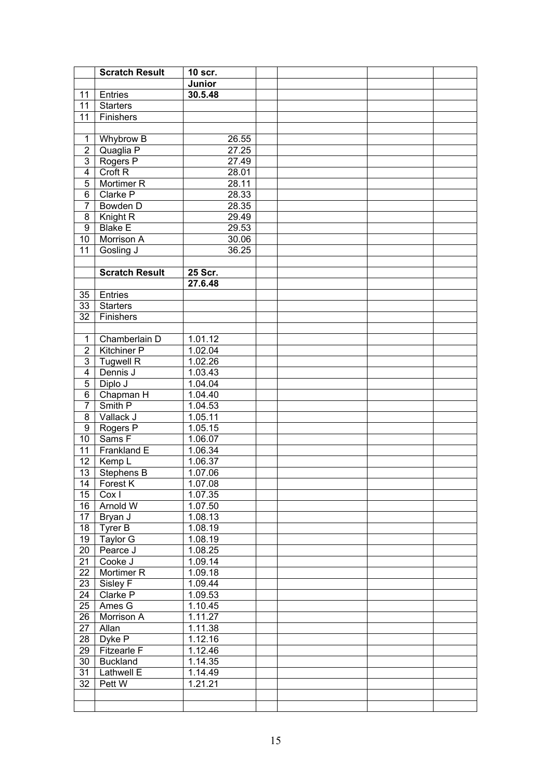|                         | <b>Scratch Result</b>       | 10 scr.              |  |  |
|-------------------------|-----------------------------|----------------------|--|--|
|                         |                             | Junior               |  |  |
| 11                      | Entries                     | 30.5.48              |  |  |
| 11                      | <b>Starters</b>             |                      |  |  |
| 11                      | Finishers                   |                      |  |  |
|                         |                             |                      |  |  |
| $\mathbf{1}$            | Whybrow B                   | 26.55                |  |  |
| $\overline{2}$          | Quaglia P                   | 27.25                |  |  |
| $\overline{3}$          | Rogers P                    | 27.49                |  |  |
| $\overline{\mathbf{4}}$ | Croft <sub>R</sub>          | 28.01                |  |  |
| $\overline{5}$          | Mortimer R                  | 28.11                |  |  |
| 6                       | Clarke P                    | 28.33                |  |  |
| $\overline{7}$          | Bowden D                    | 28.35                |  |  |
| 8                       | Knight <sub>R</sub>         | 29.49                |  |  |
| 9                       | <b>Blake E</b>              | 29.53                |  |  |
| 10                      | Morrison A                  | 30.06                |  |  |
| 11                      | Gosling J                   | 36.25                |  |  |
|                         |                             |                      |  |  |
|                         | <b>Scratch Result</b>       | 25 Scr.              |  |  |
|                         |                             | 27.6.48              |  |  |
| 35                      | Entries                     |                      |  |  |
| 33                      | <b>Starters</b>             |                      |  |  |
| 32                      | Finishers                   |                      |  |  |
|                         |                             |                      |  |  |
| $\mathbf{1}$            | Chamberlain D               | 1.01.12              |  |  |
| $\overline{2}$          | <b>Kitchiner P</b>          | 1.02.04              |  |  |
| $\overline{3}$          | <b>Tugwell R</b>            | $1.02.\overline{26}$ |  |  |
| $\overline{\mathbf{4}}$ | Dennis J                    | 1.03.43              |  |  |
| $\overline{5}$          | Diplo J                     | 1.04.04              |  |  |
| 6                       | Chapman H                   | 1.04.40              |  |  |
| $\overline{7}$          | Smith P                     | 1.04.53              |  |  |
| 8                       | Vallack J                   | 1.05.11              |  |  |
| 9                       | Rogers P                    | 1.05.15              |  |  |
| 10                      | Sams F                      | 1.06.07              |  |  |
| 11                      | Frankland E                 | 1.06.34              |  |  |
| 12                      | $\sqrt{\frac{1}{2}}$ Kemp L | 1.06.37              |  |  |
| 13                      | Stephens B                  | 1.07.06              |  |  |
|                         | 14   Forest K               | 1.07.08              |  |  |
| 15                      | $ $ Cox I                   | 1.07.35              |  |  |
| 16                      | Arnold W                    | $1.07.\overline{50}$ |  |  |
|                         | 17 Bryan J                  | 1.08.13              |  |  |
|                         | 18   Tyrer B                | 1.08.19              |  |  |
| 19                      | Taylor G                    | 1.08.19              |  |  |
| 20                      | Pearce J                    | 1.08.25              |  |  |
| 21                      | Cooke J                     | 1.09.14              |  |  |
|                         | 22 Mortimer R               | 1.09.18              |  |  |
|                         | 23 Sisley F                 | 1.09.44              |  |  |
| 24                      | Clarke P                    | 1.09.53              |  |  |
| 25                      | Ames G                      | 1.10.45              |  |  |
|                         | 26   Morrison A             | 1.11.27              |  |  |
| 27                      | Allan                       | 1.11.38              |  |  |
|                         | 28   Dyke P                 | 1.12.16              |  |  |
| 29                      | Fitzearle F                 | 1.12.46              |  |  |
| 30                      | Buckland                    | 1.14.35              |  |  |
| 31                      | Lathwell E                  | 1.14.49              |  |  |
| 32                      | Pett W                      | 1.21.21              |  |  |
|                         |                             |                      |  |  |
|                         |                             |                      |  |  |
|                         |                             |                      |  |  |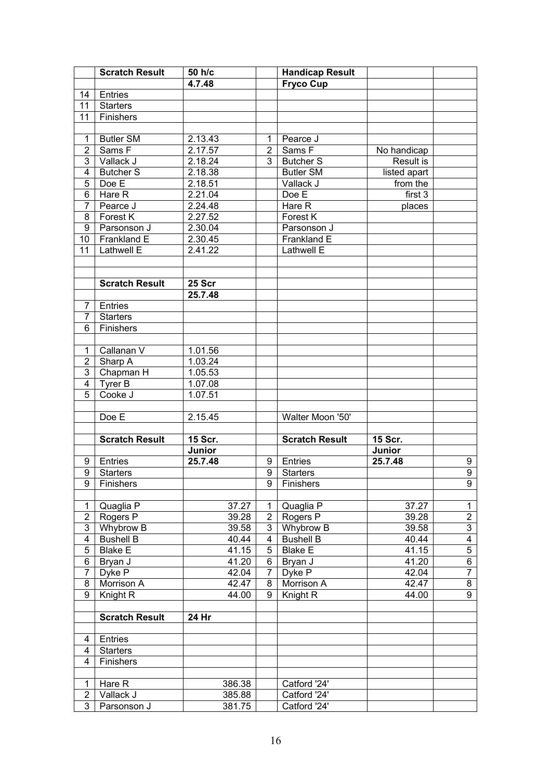|                         | <b>Scratch Result</b>              | 50 h/c             |                | <b>Handicap Result</b>             |              |                |
|-------------------------|------------------------------------|--------------------|----------------|------------------------------------|--------------|----------------|
|                         |                                    | 4.7.48             |                | <b>Fryco Cup</b>                   |              |                |
| 14                      | Entries                            |                    |                |                                    |              |                |
| 11                      | <b>Starters</b>                    |                    |                |                                    |              |                |
| 11                      | Finishers                          |                    |                |                                    |              |                |
|                         |                                    |                    |                |                                    |              |                |
| $\mathbf 1$             | <b>Butler SM</b>                   | 2.13.43            | 1              | Pearce J                           |              |                |
| $\overline{2}$          | Sams F                             | 2.17.57            | $\overline{2}$ | Sams F                             | No handicap  |                |
| 3                       | Vallack J                          | 2.18.24            | 3              | <b>Butcher S</b>                   | Result is    |                |
| $\overline{\mathbf{4}}$ | <b>Butcher S</b>                   | 2.18.38            |                | Butler SM                          | listed apart |                |
| 5                       | Doe E                              | 2.18.51            |                | Vallack J                          | from the     |                |
| 6                       | Hare R                             | 2.21.04            |                | Doe E                              | first 3      |                |
| $\overline{7}$          | Pearce J                           | 2.24.48            |                | Hare R                             | places       |                |
| 8                       | Forest K                           | 2.27.52            |                | Forest K                           |              |                |
| 9                       | Parsonson J                        | 2.30.04            |                | Parsonson J                        |              |                |
| 10                      | Frankland E                        | 2.30.45            |                | Frankland E                        |              |                |
| 11                      | <b>Lathwell E</b>                  | 2.41.22            |                | Lathwell E                         |              |                |
|                         |                                    |                    |                |                                    |              |                |
|                         |                                    |                    |                |                                    |              |                |
|                         | <b>Scratch Result</b>              | 25 Scr             |                |                                    |              |                |
|                         |                                    | 25.7.48            |                |                                    |              |                |
| 7                       | Entries                            |                    |                |                                    |              |                |
| 7                       | <b>Starters</b>                    |                    |                |                                    |              |                |
| 6                       | Finishers                          |                    |                |                                    |              |                |
|                         |                                    |                    |                |                                    |              |                |
| $\mathbf 1$             | Callanan V                         | 1.01.56            |                |                                    |              |                |
| $\overline{c}$          | Sharp A                            | 1.03.24            |                |                                    |              |                |
| 3                       | Chapman H                          | 1.05.53            |                |                                    |              |                |
| $\overline{\mathbf{4}}$ | Tyrer B                            | 1.07.08            |                |                                    |              |                |
| 5                       | Cooke J                            | 1.07.51            |                |                                    |              |                |
|                         |                                    |                    |                |                                    |              |                |
|                         | Doe E                              | 2.15.45            |                | Walter Moon '50'                   |              |                |
|                         |                                    |                    |                |                                    |              |                |
|                         | <b>Scratch Result</b>              | 15 Scr.            |                | <b>Scratch Result</b>              | 15 Scr.      |                |
|                         |                                    | Junior             |                |                                    | Junior       |                |
| 9                       | Entries                            | 25.7.48            | 9              | Entries                            | 25.7.48      | 9              |
| 9                       | <b>Starters</b>                    |                    | 9              | <b>Starters</b>                    |              | 9              |
| 9 <sup>1</sup>          | Finishers                          |                    |                | 9 Finishers                        |              | $\overline{9}$ |
|                         |                                    |                    |                |                                    |              |                |
| 1                       | Quaglia P                          | 37.27              | 1              | Quaglia P                          | 37.27        | $\mathbf{1}$   |
| 2                       | Rogers P                           | 39.28              | $\overline{2}$ | Rogers P                           | 39.28        | $\overline{2}$ |
| 3                       | Whybrow B                          | 39.58              | 3              | Whybrow B                          | 39.58        | $\overline{3}$ |
| 4                       |                                    | 40.44              |                |                                    | 40.44        | $\overline{4}$ |
| 5                       | <b>Bushell B</b><br><b>Blake E</b> | 41.15              | 4<br>5         | <b>Bushell B</b><br><b>Blake E</b> | 41.15        | $\overline{5}$ |
|                         |                                    | $\overline{41.20}$ | 6              |                                    | 41.20        | $\overline{6}$ |
| 6                       | Bryan J                            | 42.04              |                | Bryan J                            |              | $\overline{7}$ |
| 7                       | Dyke P                             |                    | 7              | Dyke P                             | 42.04        | $\overline{8}$ |
| 8                       | Morrison A                         | 42.47              | 8              | Morrison A                         | 42.47        |                |
| 9                       | Knight R                           | 44.00              | 9              | Knight R                           | 44.00        | $\overline{9}$ |
|                         |                                    |                    |                |                                    |              |                |
|                         | <b>Scratch Result</b>              | 24 Hr              |                |                                    |              |                |
|                         |                                    |                    |                |                                    |              |                |
| 4                       | Entries                            |                    |                |                                    |              |                |
| 4                       | <b>Starters</b>                    |                    |                |                                    |              |                |
| $\overline{4}$          | Finishers                          |                    |                |                                    |              |                |
|                         |                                    |                    |                |                                    |              |                |
| 1                       | Hare R                             | 386.38             |                | Catford '24'                       |              |                |
| $\overline{\mathbf{c}}$ | Vallack J                          | 385.88             |                | Catford '24'                       |              |                |
| 3                       | Parsonson J                        | 381.75             |                | Catford '24'                       |              |                |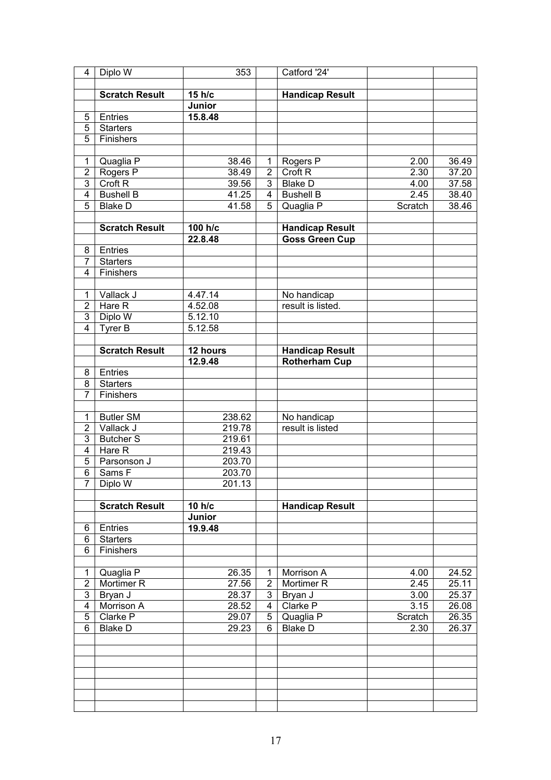| 4              | Diplo W               | 353      |                | Catford '24'                   |         |       |
|----------------|-----------------------|----------|----------------|--------------------------------|---------|-------|
|                |                       |          |                |                                |         |       |
|                | <b>Scratch Result</b> | 15 h/c   |                | <b>Handicap Result</b>         |         |       |
|                |                       | Junior   |                |                                |         |       |
| 5              | Entries               | 15.8.48  |                |                                |         |       |
| 5              | Starters              |          |                |                                |         |       |
| 5              | Finishers             |          |                |                                |         |       |
|                |                       |          |                |                                |         |       |
| 1              |                       | 38.46    | 1              |                                | 2.00    |       |
|                | Quaglia P             |          |                | Rogers P<br>Croft <sub>R</sub> |         | 36.49 |
| $\overline{2}$ | Rogers P              | 38.49    | $\overline{2}$ |                                | 2.30    | 37.20 |
| 3              | Croft <sub>R</sub>    | 39.56    | 3              | <b>Blake D</b>                 | 4.00    | 37.58 |
| 4              | <b>Bushell B</b>      | 41.25    | $\overline{4}$ | <b>Bushell B</b>               | 2.45    | 38.40 |
| 5              | <b>Blake D</b>        | 41.58    | 5              | Quaglia P                      | Scratch | 38.46 |
|                |                       |          |                |                                |         |       |
|                | <b>Scratch Result</b> | 100 h/c  |                | <b>Handicap Result</b>         |         |       |
|                |                       | 22.8.48  |                | <b>Goss Green Cup</b>          |         |       |
| 8              | Entries               |          |                |                                |         |       |
| $\overline{7}$ | <b>Starters</b>       |          |                |                                |         |       |
| 4              | Finishers             |          |                |                                |         |       |
|                |                       |          |                |                                |         |       |
| 1              | Vallack J             | 4.47.14  |                | No handicap                    |         |       |
| $\overline{2}$ | Hare R                | 4.52.08  |                | result is listed.              |         |       |
| 3              | Diplo W               | 5.12.10  |                |                                |         |       |
| $\overline{4}$ | $T$ yrer B            | 5.12.58  |                |                                |         |       |
|                |                       |          |                |                                |         |       |
|                |                       |          |                |                                |         |       |
|                | <b>Scratch Result</b> | 12 hours |                | <b>Handicap Result</b>         |         |       |
|                |                       | 12.9.48  |                | <b>Rotherham Cup</b>           |         |       |
| 8              | Entries               |          |                |                                |         |       |
| 8              | <b>Starters</b>       |          |                |                                |         |       |
| $\overline{7}$ | Finishers             |          |                |                                |         |       |
|                |                       |          |                |                                |         |       |
| 1              | <b>Butler SM</b>      | 238.62   |                | No handicap                    |         |       |
| $\overline{2}$ | Vallack J             | 219.78   |                | result is listed               |         |       |
| 3              | <b>Butcher S</b>      | 219.61   |                |                                |         |       |
| $\overline{4}$ | Hare R                | 219.43   |                |                                |         |       |
| 5              | Parsonson J           | 203.70   |                |                                |         |       |
| 6              | Sams F                | 203.70   |                |                                |         |       |
| 7 <sup>1</sup> | Diplo W               | 201.13   |                |                                |         |       |
|                |                       |          |                |                                |         |       |
|                | <b>Scratch Result</b> | 10 h/c   |                | <b>Handicap Result</b>         |         |       |
|                |                       | Junior   |                |                                |         |       |
| 6              | Entries               | 19.9.48  |                |                                |         |       |
| 6              | <b>Starters</b>       |          |                |                                |         |       |
| 6              | Finishers             |          |                |                                |         |       |
|                |                       |          |                |                                |         |       |
|                |                       |          |                | Morrison A                     |         |       |
| $\mathbf 1$    | Quaglia P             | 26.35    | 1              |                                | 4.00    | 24.52 |
| $\overline{2}$ | Mortimer <sub>R</sub> | 27.56    | $\overline{2}$ | Mortimer R                     | 2.45    | 25.11 |
| 3              | Bryan J               | 28.37    | 3              | Bryan J                        | 3.00    | 25.37 |
| 4              | Morrison A            | 28.52    | 4              | Clarke P                       | 3.15    | 26.08 |
| 5              | Clarke P              | 29.07    | 5              | Quaglia P                      | Scratch | 26.35 |
| 6              | <b>Blake D</b>        | 29.23    | 6              | <b>Blake D</b>                 | 2.30    | 26.37 |
|                |                       |          |                |                                |         |       |
|                |                       |          |                |                                |         |       |
|                |                       |          |                |                                |         |       |
|                |                       |          |                |                                |         |       |
|                |                       |          |                |                                |         |       |
|                |                       |          |                |                                |         |       |
|                |                       |          |                |                                |         |       |